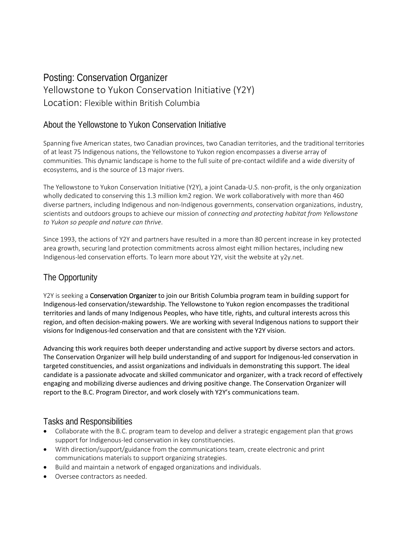# Posting: Conservation Organizer Yellowstone to Yukon Conservation Initiative (Y2Y) Location: Flexible within British Columbia

### About the Yellowstone to Yukon Conservation Initiative

Spanning five American states, two Canadian provinces, two Canadian territories, and the traditional territories of at least 75 Indigenous nations, the Yellowstone to Yukon region encompasses a diverse array of communities. This dynamic landscape is home to the full suite of pre-contact wildlife and a wide diversity of ecosystems, and is the source of 13 major rivers.

The Yellowstone to Yukon Conservation Initiative (Y2Y), a joint Canada-U.S. non-profit, is the only organization wholly dedicated to conserving this 1.3 million km2 region. We work collaboratively with more than 460 diverse partners, including Indigenous and non-Indigenous governments, conservation organizations, industry, scientists and outdoors groups to achieve our mission of *connecting and protecting habitat from Yellowstone to Yukon so people and nature can thrive*.

Since 1993, the actions of Y2Y and partners have resulted in a more than 80 percent increase in key protected area growth, securing land protection commitments across almost eight million hectares, including new Indigenous-led conservation efforts. To learn more about Y2Y, visit the website at y2y.net.

## The Opportunity

Y2Y is seeking a Conservation Organizer to join our British Columbia program team in building support for Indigenous-led conservation/stewardship. The Yellowstone to Yukon region encompasses the traditional territories and lands of many Indigenous Peoples, who have title, rights, and cultural interests across this region, and often decision-making powers. We are working with several Indigenous nations to support their visions for Indigenous-led conservation and that are consistent with the Y2Y vision.

Advancing this work requires both deeper understanding and active support by diverse sectors and actors. The Conservation Organizer will help build understanding of and support for Indigenous-led conservation in targeted constituencies, and assist organizations and individuals in demonstrating this support. The ideal candidate is a passionate advocate and skilled communicator and organizer, with a track record of effectively engaging and mobilizing diverse audiences and driving positive change. The Conservation Organizer will report to the B.C. Program Director, and work closely with Y2Y's communications team.

#### Tasks and Responsibilities

- Collaborate with the B.C. program team to develop and deliver a strategic engagement plan that grows support for Indigenous-led conservation in key constituencies.
- With direction/support/guidance from the communications team, create electronic and print communications materials to support organizing strategies.
- Build and maintain a network of engaged organizations and individuals.
- Oversee contractors as needed.